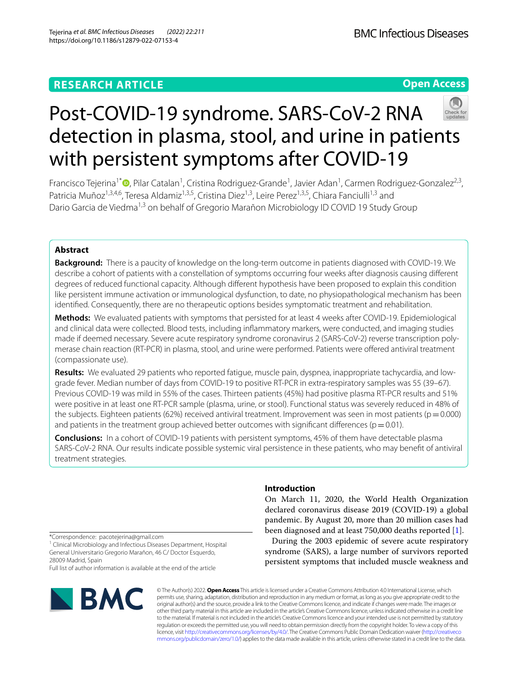## **RESEARCH ARTICLE**

**Open Access**

# Post-COVID-19 syndrome. SARS-CoV-2 RNA detection in plasma, stool, and urine in patients with persistent symptoms after COVID-19

Francisco Tejerina<sup>1\*</sup><sup>®</sup>[,](http://orcid.org/0000-0002-4136-3575) Pilar Catalan<sup>1</sup>, Cristina Rodriguez-Grande<sup>1</sup>, Javier Adan<sup>1</sup>, Carmen Rodriguez-Gonzalez<sup>2,3</sup>, Patricia Muñoz<sup>1,3,4,6</sup>, Teresa Aldamiz<sup>1,3,5</sup>, Cristina Diez<sup>1,3</sup>, Leire Perez<sup>1,3,5</sup>, Chiara Fanciulli<sup>1,3</sup> and Dario Garcia de Viedma<sup>1,3</sup> on behalf of Gregorio Marañon Microbiology ID COVID 19 Study Group

## **Abstract**

**Background:** There is a paucity of knowledge on the long-term outcome in patients diagnosed with COVID-19. We describe a cohort of patients with a constellation of symptoms occurring four weeks after diagnosis causing diferent degrees of reduced functional capacity. Although diferent hypothesis have been proposed to explain this condition like persistent immune activation or immunological dysfunction, to date, no physiopathological mechanism has been identifed. Consequently, there are no therapeutic options besides symptomatic treatment and rehabilitation.

**Methods:** We evaluated patients with symptoms that persisted for at least 4 weeks after COVID-19. Epidemiological and clinical data were collected. Blood tests, including infammatory markers, were conducted, and imaging studies made if deemed necessary. Severe acute respiratory syndrome coronavirus 2 (SARS-CoV-2) reverse transcription polymerase chain reaction (RT-PCR) in plasma, stool, and urine were performed. Patients were ofered antiviral treatment (compassionate use).

**Results:** We evaluated 29 patients who reported fatigue, muscle pain, dyspnea, inappropriate tachycardia, and lowgrade fever. Median number of days from COVID-19 to positive RT-PCR in extra-respiratory samples was 55 (39–67). Previous COVID-19 was mild in 55% of the cases. Thirteen patients (45%) had positive plasma RT-PCR results and 51% were positive in at least one RT-PCR sample (plasma, urine, or stool). Functional status was severely reduced in 48% of the subjects. Eighteen patients (62%) received antiviral treatment. Improvement was seen in most patients ( $p=0.000$ ) and patients in the treatment group achieved better outcomes with significant differences ( $p=0.01$ ).

**Conclusions:** In a cohort of COVID-19 patients with persistent symptoms, 45% of them have detectable plasma SARS-CoV-2 RNA. Our results indicate possible systemic viral persistence in these patients, who may beneft of antiviral treatment strategies.

\*Correspondence: pacotejerina@gmail.com

<sup>1</sup> Clinical Microbiology and Infectious Diseases Department, Hospital General Universitario Gregorio Marañon, 46 C/ Doctor Esquerdo, 28009 Madrid, Spain

Full list of author information is available at the end of the article



On March 11, 2020, the World Health Organization

**Introduction**

declared coronavirus disease 2019 (COVID-19) a global pandemic. By August 20, more than 20 million cases had been diagnosed and at least 750,000 deaths reported [\[1](#page-6-0)].

During the 2003 epidemic of severe acute respiratory syndrome (SARS), a large number of survivors reported persistent symptoms that included muscle weakness and

© The Author(s) 2022. **Open Access** This article is licensed under a Creative Commons Attribution 4.0 International License, which permits use, sharing, adaptation, distribution and reproduction in any medium or format, as long as you give appropriate credit to the original author(s) and the source, provide a link to the Creative Commons licence, and indicate if changes were made. The images or other third party material in this article are included in the article's Creative Commons licence, unless indicated otherwise in a credit line to the material. If material is not included in the article's Creative Commons licence and your intended use is not permitted by statutory regulation or exceeds the permitted use, you will need to obtain permission directly from the copyright holder. To view a copy of this licence, visit [http://creativecommons.org/licenses/by/4.0/.](http://creativecommons.org/licenses/by/4.0/) The Creative Commons Public Domain Dedication waiver ([http://creativeco](http://creativecommons.org/publicdomain/zero/1.0/) [mmons.org/publicdomain/zero/1.0/](http://creativecommons.org/publicdomain/zero/1.0/)) applies to the data made available in this article, unless otherwise stated in a credit line to the data.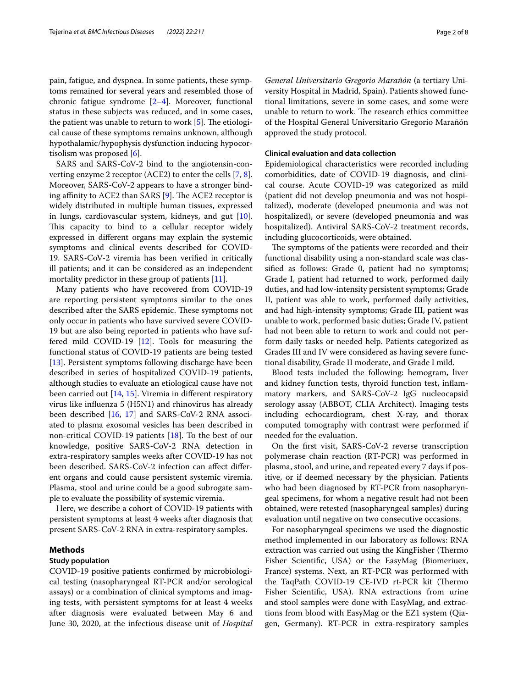pain, fatigue, and dyspnea. In some patients, these symptoms remained for several years and resembled those of chronic fatigue syndrome [\[2](#page-6-1)[–4\]](#page-6-2). Moreover, functional status in these subjects was reduced, and in some cases, the patient was unable to return to work  $[5]$  $[5]$ . The etiological cause of these symptoms remains unknown, although hypothalamic/hypophysis dysfunction inducing hypocortisolism was proposed [[6\]](#page-6-4).

SARS and SARS-CoV-2 bind to the angiotensin-converting enzyme 2 receptor (ACE2) to enter the cells [[7,](#page-6-5) [8](#page-6-6)]. Moreover, SARS-CoV-2 appears to have a stronger binding affinity to ACE2 than SARS  $[9]$  $[9]$ . The ACE2 receptor is widely distributed in multiple human tissues, expressed in lungs, cardiovascular system, kidneys, and gut [\[10](#page-6-8)]. This capacity to bind to a cellular receptor widely expressed in diferent organs may explain the systemic symptoms and clinical events described for COVID-19. SARS-CoV-2 viremia has been verifed in critically ill patients; and it can be considered as an independent mortality predictor in these group of patients [\[11](#page-6-9)].

Many patients who have recovered from COVID-19 are reporting persistent symptoms similar to the ones described after the SARS epidemic. These symptoms not only occur in patients who have survived severe COVID-19 but are also being reported in patients who have suffered mild COVID-19 [\[12\]](#page-6-10). Tools for measuring the functional status of COVID-19 patients are being tested [[13\]](#page-6-11). Persistent symptoms following discharge have been described in series of hospitalized COVID-19 patients, although studies to evaluate an etiological cause have not been carried out [\[14](#page-6-12), [15\]](#page-6-13). Viremia in diferent respiratory virus like infuenza 5 (H5N1) and rhinovirus has already been described [[16](#page-6-14), [17\]](#page-6-15) and SARS-CoV-2 RNA associated to plasma exosomal vesicles has been described in non-critical COVID-19 patients [[18\]](#page-6-16). To the best of our knowledge, positive SARS-CoV-2 RNA detection in extra-respiratory samples weeks after COVID-19 has not been described. SARS-CoV-2 infection can afect diferent organs and could cause persistent systemic viremia. Plasma, stool and urine could be a good subrogate sample to evaluate the possibility of systemic viremia.

Here, we describe a cohort of COVID-19 patients with persistent symptoms at least 4 weeks after diagnosis that present SARS-CoV-2 RNA in extra-respiratory samples.

## **Methods**

## **Study population**

COVID-19 positive patients confrmed by microbiological testing (nasopharyngeal RT-PCR and/or serological assays) or a combination of clinical symptoms and imaging tests, with persistent symptoms for at least 4 weeks after diagnosis were evaluated between May 6 and June 30, 2020, at the infectious disease unit of *Hospital* 

*General Universitario Gregorio Marañón* (a tertiary University Hospital in Madrid, Spain). Patients showed functional limitations, severe in some cases, and some were unable to return to work. The research ethics committee of the Hospital General Universitario Gregorio Marañón approved the study protocol.

## **Clinical evaluation and data collection**

Epidemiological characteristics were recorded including comorbidities, date of COVID-19 diagnosis, and clinical course. Acute COVID-19 was categorized as mild (patient did not develop pneumonia and was not hospitalized), moderate (developed pneumonia and was not hospitalized), or severe (developed pneumonia and was hospitalized). Antiviral SARS-CoV-2 treatment records, including glucocorticoids, were obtained.

The symptoms of the patients were recorded and their functional disability using a non-standard scale was classifed as follows: Grade 0, patient had no symptoms; Grade I, patient had returned to work, performed daily duties, and had low-intensity persistent symptoms; Grade II, patient was able to work, performed daily activities, and had high-intensity symptoms; Grade III, patient was unable to work, performed basic duties; Grade IV, patient had not been able to return to work and could not perform daily tasks or needed help. Patients categorized as Grades III and IV were considered as having severe functional disability, Grade II moderate, and Grade I mild.

Blood tests included the following: hemogram, liver and kidney function tests, thyroid function test, infammatory markers, and SARS-CoV-2 IgG nucleocapsid serology assay (ABBOT, CLIA Architect). Imaging tests including echocardiogram, chest X-ray, and thorax computed tomography with contrast were performed if needed for the evaluation.

On the frst visit, SARS-CoV-2 reverse transcription polymerase chain reaction (RT-PCR) was performed in plasma, stool, and urine, and repeated every 7 days if positive, or if deemed necessary by the physician. Patients who had been diagnosed by RT-PCR from nasopharyngeal specimens, for whom a negative result had not been obtained, were retested (nasopharyngeal samples) during evaluation until negative on two consecutive occasions.

For nasopharyngeal specimens we used the diagnostic method implemented in our laboratory as follows: RNA extraction was carried out using the KingFisher (Thermo Fisher Scientifc, USA) or the EasyMag (Biomeriuex, France) systems. Next, an RT-PCR was performed with the TaqPath COVID-19 CE-IVD rt-PCR kit (Thermo Fisher Scientifc, USA). RNA extractions from urine and stool samples were done with EasyMag, and extractions from blood with EasyMag or the EZ1 system (Qiagen, Germany). RT-PCR in extra-respiratory samples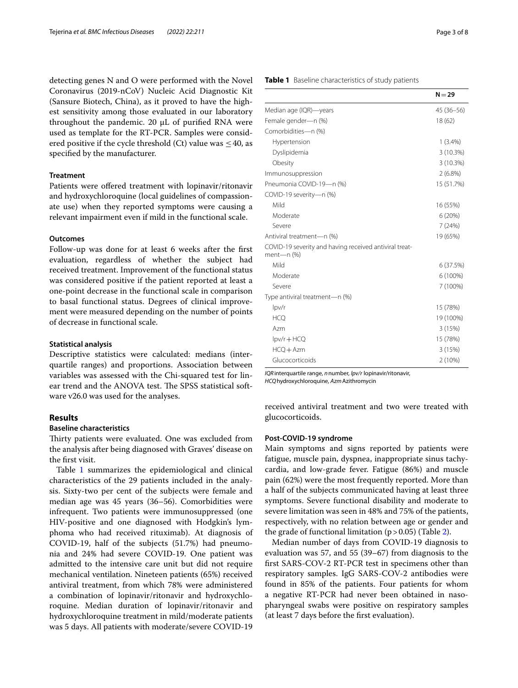detecting genes N and O were performed with the Novel Coronavirus (2019-nCoV) Nucleic Acid Diagnostic Kit (Sansure Biotech, China), as it proved to have the highest sensitivity among those evaluated in our laboratory throughout the pandemic.  $20 \mu L$  of purified RNA were used as template for the RT-PCR. Samples were considered positive if the cycle threshold (Ct) value was  $\leq 40$ , as specifed by the manufacturer.

## **Treatment**

Patients were offered treatment with lopinavir/ritonavir and hydroxychloroquine (local guidelines of compassionate use) when they reported symptoms were causing a relevant impairment even if mild in the functional scale.

## **Outcomes**

Follow-up was done for at least 6 weeks after the frst evaluation, regardless of whether the subject had received treatment. Improvement of the functional status was considered positive if the patient reported at least a one-point decrease in the functional scale in comparison to basal functional status. Degrees of clinical improvement were measured depending on the number of points of decrease in functional scale.

#### **Statistical analysis**

Descriptive statistics were calculated: medians (interquartile ranges) and proportions. Association between variables was assessed with the Chi-squared test for linear trend and the ANOVA test. The SPSS statistical software v26.0 was used for the analyses.

## **Results**

## **Baseline characteristics**

Thirty patients were evaluated. One was excluded from the analysis after being diagnosed with Graves' disease on the frst visit.

Table [1](#page-2-0) summarizes the epidemiological and clinical characteristics of the 29 patients included in the analysis. Sixty-two per cent of the subjects were female and median age was 45 years (36–56). Comorbidities were infrequent. Two patients were immunosuppressed (one HIV-positive and one diagnosed with Hodgkin's lymphoma who had received rituximab). At diagnosis of COVID-19, half of the subjects (51.7%) had pneumonia and 24% had severe COVID-19. One patient was admitted to the intensive care unit but did not require mechanical ventilation. Nineteen patients (65%) received antiviral treatment, from which 78% were administered a combination of lopinavir/ritonavir and hydroxychloroquine. Median duration of lopinavir/ritonavir and hydroxychloroquine treatment in mild/moderate patients was 5 days. All patients with moderate/severe COVID-19

## <span id="page-2-0"></span>**Table 1** Baseline characteristics of study patients

|                                                                      | $N = 29$      |
|----------------------------------------------------------------------|---------------|
| Median age (IQR)-years                                               | $45(36 - 56)$ |
| Female gender-n (%)                                                  | 18 (62)       |
| Comorbidities-n (%)                                                  |               |
| Hypertension                                                         | $1(3.4\%)$    |
| Dyslipidemia                                                         | 3(10.3%)      |
| Obesity                                                              | 3(10.3%)      |
| Immunosuppression                                                    | $2(6.8\%)$    |
| Pneumonia COVID-19-n (%)                                             | 15 (51.7%)    |
| COVID-19 severity-n (%)                                              |               |
| Mild                                                                 | 16 (55%)      |
| Moderate                                                             | 6(20%)        |
| Severe                                                               | 7(24%)        |
| Antiviral treatment-n (%)                                            | 19 (65%)      |
| COVID-19 severity and having received antiviral treat-<br>ment-n (%) |               |
| Mild                                                                 | 6 (37.5%)     |
| Moderate                                                             | $6(100\%)$    |
| Severe                                                               | 7 (100%)      |
| Type antiviral treatment-n (%)                                       |               |
| $\frac{1}{2}$                                                        | 15 (78%)      |
| <b>HCO</b>                                                           | 19 (100%)     |
| Azm                                                                  | 3 (15%)       |
| $\text{lpv/r} + \text{HCO}$                                          | 15 (78%)      |
| $HCQ + Azm$                                                          | 3(15%)        |
| Glucocorticoids                                                      | 2(10%)        |

*IQR*interquartile range, *n*number, *lpv/r* lopinavir/ritonavir, *HCQ*hydroxychloroquine, *Azm*Azithromycin

received antiviral treatment and two were treated with glucocorticoids.

## **Post‑COVID‑19 syndrome**

Main symptoms and signs reported by patients were fatigue, muscle pain, dyspnea, inappropriate sinus tachycardia, and low-grade fever. Fatigue (86%) and muscle pain (62%) were the most frequently reported. More than a half of the subjects communicated having at least three symptoms. Severe functional disability and moderate to severe limitation was seen in 48% and 75% of the patients, respectively, with no relation between age or gender and the grade of functional limitation  $(p > 0.05)$  (Table [2\)](#page-3-0).

Median number of days from COVID-19 diagnosis to evaluation was 57, and 55 (39–67) from diagnosis to the frst SARS-COV-2 RT-PCR test in specimens other than respiratory samples. IgG SARS-COV-2 antibodies were found in 85% of the patients. Four patients for whom a negative RT-PCR had never been obtained in nasopharyngeal swabs were positive on respiratory samples (at least 7 days before the frst evaluation).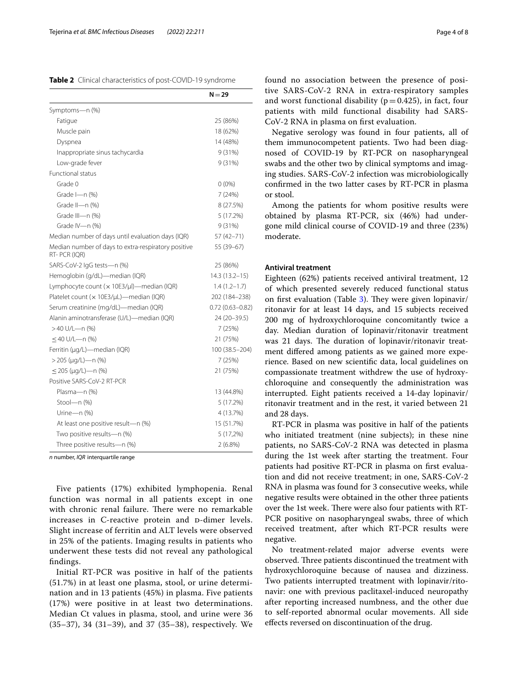<span id="page-3-0"></span>

|                                                                      | $N = 29$            |
|----------------------------------------------------------------------|---------------------|
| Symptoms-n (%)                                                       |                     |
| Fatigue                                                              | 25 (86%)            |
| Muscle pain                                                          | 18 (62%)            |
| Dyspnea                                                              | 14 (48%)            |
| Inappropriate sinus tachycardia                                      | 9(31%)              |
| Low-grade fever                                                      | 9(31%)              |
| <b>Functional status</b>                                             |                     |
| Grade 0                                                              | $0(0\%)$            |
| Grade I-n (%)                                                        | 7 (24%)             |
| Grade II-n (%)                                                       | 8 (27.5%)           |
| Grade III-n (%)                                                      | 5 (17.2%)           |
| Grade IV-n (%)                                                       | 9 (31%)             |
| Median number of days until evaluation days (IQR)                    | 57 (42–71)          |
| Median number of days to extra-respiratory positive<br>RT- PCR (IQR) | 55 (39-67)          |
| SARS-CoV-2 IgG tests-n (%)                                           | 25 (86%)            |
| Hemoglobin (g/dL)-median (IQR)                                       | 14.3 (13.2–15)      |
| Lymphocyte count (x 10E3/µl)-median (IQR)                            | $1.4(1.2-1.7)$      |
| Platelet count (x 10E3/µL)-median (IQR)                              | 202 (184-238)       |
| Serum creatinine (mg/dL)-median (IQR)                                | $0.72(0.63 - 0.82)$ |
| Alanin aminotransferase (U/L)-median (IQR)                           | 24 (20-39.5)        |
| >40 U/L-n (%)                                                        | 7 (25%)             |
| $\leq$ 40 U/L-n (%)                                                  | 21 (75%)            |
| Ferritin (µg/L)-median (IQR)                                         | 100 (38.5-204)      |
| > 205 (µg/L)-n (%)                                                   | 7(25%)              |
| $\leq$ 205 (µg/L)—n (%)                                              | 21 (75%)            |
| Positive SARS-CoV-2 RT-PCR                                           |                     |
| Plasma-n (%)                                                         | 13 (44.8%)          |
| Stool-n (%)                                                          | 5 (17.2%)           |
| Urine-n (%)                                                          | 4 (13.7%)           |
| At least one positive result-n (%)                                   | 15 (51.7%)          |
| Two positive results-n (%)                                           | 5 (17,2%)           |
| Three positive results-n (%)                                         | $2(6.8\%)$          |

*n* number, *IQR* interquartile range

Five patients (17%) exhibited lymphopenia. Renal function was normal in all patients except in one with chronic renal failure. There were no remarkable increases in C-reactive protein and p-dimer levels. Slight increase of ferritin and ALT levels were observed in 25% of the patients. Imaging results in patients who underwent these tests did not reveal any pathological fndings.

Initial RT-PCR was positive in half of the patients (51.7%) in at least one plasma, stool, or urine determination and in 13 patients (45%) in plasma. Five patients (17%) were positive in at least two determinations. Median Ct values in plasma, stool, and urine were 36 (35–37), 34 (31–39), and 37 (35–38), respectively. We found no association between the presence of positive SARS-CoV-2 RNA in extra-respiratory samples and worst functional disability ( $p=0.425$ ), in fact, four patients with mild functional disability had SARS-CoV-2 RNA in plasma on frst evaluation.

Negative serology was found in four patients, all of them immunocompetent patients. Two had been diagnosed of COVID-19 by RT-PCR on nasopharyngeal swabs and the other two by clinical symptoms and imaging studies. SARS-CoV-2 infection was microbiologically confrmed in the two latter cases by RT-PCR in plasma or stool.

Among the patients for whom positive results were obtained by plasma RT-PCR, six (46%) had undergone mild clinical course of COVID-19 and three (23%) moderate.

## **Antiviral treatment**

Eighteen (62%) patients received antiviral treatment, 12 of which presented severely reduced functional status on first evaluation (Table [3](#page-4-0)). They were given lopinavir/ ritonavir for at least 14 days, and 15 subjects received 200 mg of hydroxychloroquine concomitantly twice a day. Median duration of lopinavir/ritonavir treatment was 21 days. The duration of lopinavir/ritonavir treatment difered among patients as we gained more experience. Based on new scientifc data, local guidelines on compassionate treatment withdrew the use of hydroxychloroquine and consequently the administration was interrupted. Eight patients received a 14-day lopinavir/ ritonavir treatment and in the rest, it varied between 21 and 28 days.

RT-PCR in plasma was positive in half of the patients who initiated treatment (nine subjects); in these nine patients, no SARS-CoV-2 RNA was detected in plasma during the 1st week after starting the treatment. Four patients had positive RT-PCR in plasma on frst evaluation and did not receive treatment; in one, SARS-CoV-2 RNA in plasma was found for 3 consecutive weeks, while negative results were obtained in the other three patients over the 1st week. There were also four patients with RT-PCR positive on nasopharyngeal swabs, three of which received treatment, after which RT-PCR results were negative.

No treatment-related major adverse events were observed. Three patients discontinued the treatment with hydroxychloroquine because of nausea and dizziness. Two patients interrupted treatment with lopinavir/ritonavir: one with previous paclitaxel-induced neuropathy after reporting increased numbness, and the other due to self-reported abnormal ocular movements. All side efects reversed on discontinuation of the drug.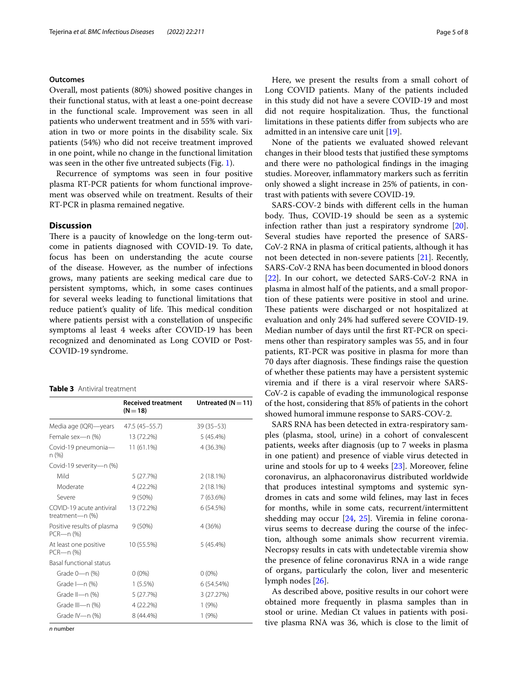## **Outcomes**

Overall, most patients (80%) showed positive changes in their functional status, with at least a one-point decrease in the functional scale. Improvement was seen in all patients who underwent treatment and in 55% with variation in two or more points in the disability scale. Six patients (54%) who did not receive treatment improved in one point, while no change in the functional limitation was seen in the other fve untreated subjects (Fig. [1](#page-5-0)).

Recurrence of symptoms was seen in four positive plasma RT-PCR patients for whom functional improvement was observed while on treatment. Results of their RT-PCR in plasma remained negative.

## **Discussion**

There is a paucity of knowledge on the long-term outcome in patients diagnosed with COVID-19. To date, focus has been on understanding the acute course of the disease. However, as the number of infections grows, many patients are seeking medical care due to persistent symptoms, which, in some cases continues for several weeks leading to functional limitations that reduce patient's quality of life. This medical condition where patients persist with a constellation of unspecifc symptoms al least 4 weeks after COVID-19 has been recognized and denominated as Long COVID or Post-COVID-19 syndrome.

#### <span id="page-4-0"></span>**Table 3** Antiviral treatment

|                                              | <b>Received treatment</b><br>$(N = 18)$ | Untreated ( $N = 11$ ) |
|----------------------------------------------|-----------------------------------------|------------------------|
| Media age (IQR)—years                        | 47.5 (45–55.7)                          | $39(35-53)$            |
| Female sex-n (%)                             | 13 (72.2%)                              | $5(45.4\%)$            |
| Covid-19 pneumonia—<br>n (%)                 | 11 (61.1%)                              | 4 (36.3%)              |
| Covid-19 severity-n (%)                      |                                         |                        |
| Mild                                         | 5 (27.7%)                               | $2(18.1\%)$            |
| Moderate                                     | 4 (22.2%)                               | $2(18.1\%)$            |
| Severe                                       | $9(50\%)$                               | 7(63.6%)               |
| COVID-19 acute antiviral<br>treatment-n (%)  | 13 (72.2%)                              | 6(54.5%)               |
| Positive results of plasma<br>$PCR$ —n $(%)$ | 9(50%)                                  | 4 (36%)                |
| At least one positive<br>$PCR$ —n $(%)$      | 10 (55.5%)                              | 5 (45.4%)              |
| <b>Basal functional status</b>               |                                         |                        |
| Grade 0-n (%)                                | $0(0\%)$                                | $0(0\%)$               |
| Grade $l$ —n $(\%)$                          | $1(5.5\%)$                              | 6 (54.54%)             |
| Grade II-n (%)                               | 5 (27.7%)                               | 3 (27.27%)             |
| Grade III-n $(\%)$                           | 4 (22.2%)                               | 1(9%)                  |
| Grade IV-n (%)                               | 8 (44.4%)                               | 1(9%)                  |

*n* number

Here, we present the results from a small cohort of Long COVID patients. Many of the patients included in this study did not have a severe COVID-19 and most did not require hospitalization. Thus, the functional limitations in these patients difer from subjects who are admitted in an intensive care unit [[19\]](#page-6-17).

None of the patients we evaluated showed relevant changes in their blood tests that justifed these symptoms and there were no pathological fndings in the imaging studies. Moreover, infammatory markers such as ferritin only showed a slight increase in 25% of patients, in contrast with patients with severe COVID-19.

SARS-COV-2 binds with diferent cells in the human body. Thus, COVID-19 should be seen as a systemic infection rather than just a respiratory syndrome [\[20](#page-6-18)]. Several studies have reported the presence of SARS-CoV-2 RNA in plasma of critical patients, although it has not been detected in non-severe patients [\[21\]](#page-6-19). Recently, SARS-CoV-2 RNA has been documented in blood donors [[22\]](#page-6-20). In our cohort, we detected SARS-CoV-2 RNA in plasma in almost half of the patients, and a small proportion of these patients were positive in stool and urine. These patients were discharged or not hospitalized at evaluation and only 24% had sufered severe COVID-19. Median number of days until the frst RT-PCR on specimens other than respiratory samples was 55, and in four patients, RT-PCR was positive in plasma for more than 70 days after diagnosis. These findings raise the question of whether these patients may have a persistent systemic viremia and if there is a viral reservoir where SARS-CoV-2 is capable of evading the immunological response of the host, considering that 85% of patients in the cohort showed humoral immune response to SARS-COV-2.

SARS RNA has been detected in extra-respiratory samples (plasma, stool, urine) in a cohort of convalescent patients, weeks after diagnosis (up to 7 weeks in plasma in one patient) and presence of viable virus detected in urine and stools for up to 4 weeks [\[23\]](#page-6-21). Moreover, feline coronavirus, an alphacoronavirus distributed worldwide that produces intestinal symptoms and systemic syndromes in cats and some wild felines, may last in feces for months, while in some cats, recurrent/intermittent shedding may occur [[24,](#page-6-22) [25\]](#page-6-23). Viremia in feline coronavirus seems to decrease during the course of the infection, although some animals show recurrent viremia. Necropsy results in cats with undetectable viremia show the presence of feline coronavirus RNA in a wide range of organs, particularly the colon, liver and mesenteric lymph nodes [[26\]](#page-7-0).

As described above, positive results in our cohort were obtained more frequently in plasma samples than in stool or urine. Median Ct values in patients with positive plasma RNA was 36, which is close to the limit of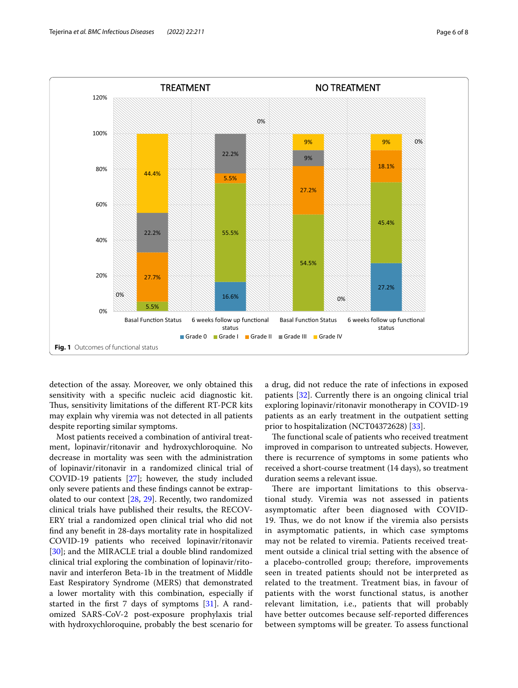

<span id="page-5-0"></span>detection of the assay. Moreover, we only obtained this sensitivity with a specifc nucleic acid diagnostic kit. Thus, sensitivity limitations of the different RT-PCR kits may explain why viremia was not detected in all patients despite reporting similar symptoms.

Most patients received a combination of antiviral treatment, lopinavir/ritonavir and hydroxychloroquine. No decrease in mortality was seen with the administration of lopinavir/ritonavir in a randomized clinical trial of COVID-19 patients [[27\]](#page-7-1); however, the study included only severe patients and these fndings cannot be extrapolated to our context [[28,](#page-7-2) [29\]](#page-7-3). Recently, two randomized clinical trials have published their results, the RECOV-ERY trial a randomized open clinical trial who did not fnd any beneft in 28-days mortality rate in hospitalized COVID-19 patients who received lopinavir/ritonavir [[30\]](#page-7-4); and the MIRACLE trial a double blind randomized clinical trial exploring the combination of lopinavir/ritonavir and interferon Beta-1b in the treatment of Middle East Respiratory Syndrome (MERS) that demonstrated a lower mortality with this combination, especially if started in the frst 7 days of symptoms [\[31](#page-7-5)]. A randomized SARS-CoV-2 post-exposure prophylaxis trial with hydroxychloroquine, probably the best scenario for a drug, did not reduce the rate of infections in exposed patients [[32\]](#page-7-6). Currently there is an ongoing clinical trial exploring lopinavir/ritonavir monotherapy in COVID-19 patients as an early treatment in the outpatient setting prior to hospitalization (NCT04372628) [[33\]](#page-7-7).

The functional scale of patients who received treatment improved in comparison to untreated subjects. However, there is recurrence of symptoms in some patients who received a short-course treatment (14 days), so treatment duration seems a relevant issue.

There are important limitations to this observational study. Viremia was not assessed in patients asymptomatic after been diagnosed with COVID-19. Thus, we do not know if the viremia also persists in asymptomatic patients, in which case symptoms may not be related to viremia. Patients received treatment outside a clinical trial setting with the absence of a placebo-controlled group; therefore, improvements seen in treated patients should not be interpreted as related to the treatment. Treatment bias, in favour of patients with the worst functional status, is another relevant limitation, i.e., patients that will probably have better outcomes because self-reported diferences between symptoms will be greater. To assess functional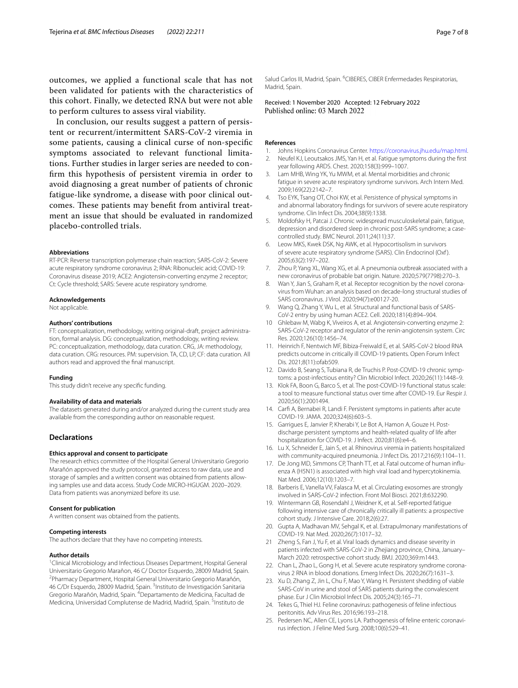outcomes, we applied a functional scale that has not been validated for patients with the characteristics of this cohort. Finally, we detected RNA but were not able to perform cultures to assess viral viability.

In conclusion, our results suggest a pattern of persistent or recurrent/intermittent SARS-CoV-2 viremia in some patients, causing a clinical curse of non-specifc symptoms associated to relevant functional limitations. Further studies in larger series are needed to confrm this hypothesis of persistent viremia in order to avoid diagnosing a great number of patients of chronic fatigue-like syndrome, a disease with poor clinical outcomes. These patients may benefit from antiviral treatment an issue that should be evaluated in randomized placebo-controlled trials.

#### **Abbreviations**

RT-PCR: Reverse transcription polymerase chain reaction; SARS-CoV-2: Severe acute respiratory syndrome coronavirus 2; RNA: Ribonucleic acid; COVID-19: Coronavirus disease 2019; ACE2: Angiotensin-converting enzyme 2 receptor; Ct: Cycle threshold; SARS: Severe acute respiratory syndrome.

#### **Acknowledgements**

Not applicable.

#### **Authors' contributions**

FT: conceptualization, methodology, writing original-draft, project administration, formal analysis. DG: conceptualization, methodology, writing review. PC: conceptualization, methodology, data curation. CRG, JA: methodology, data curation. CRG: resources. PM: supervision. TA, CD, LP, CF: data curation. All authors read and approved the fnal manuscript.

#### **Funding**

This study didn't receive any specifc funding.

#### **Availability of data and materials**

The datasets generated during and/or analyzed during the current study area available from the corresponding author on reasonable request.

#### **Declarations**

#### **Ethics approval and consent to participate**

The research ethics committee of the Hospital General Universitario Gregorio Marañón approved the study protocol, granted access to raw data, use and storage of samples and a written consent was obtained from patients allowing samples use and data access. Study Code MICRO-HGUGM. 2020–2029. Data from patients was anonymized before its use.

#### **Consent for publication**

A written consent was obtained from the patients.

#### **Competing interests**

The authors declare that they have no competing interests.

#### **Author details**

<sup>1</sup> Clinical Microbiology and Infectious Diseases Department, Hospital General Universitario Gregorio Marañon, 46 C/ Doctor Esquerdo, 28009 Madrid, Spain. 2 Pharmacy Department, Hospital General Universitario Gregorio Marañón, 46 C/Dr Esquerdo, 28009 Madrid, Spain. <sup>3</sup>Instituto de Investigación Sanitaria Gregorio Marañón, Madrid, Spain. <sup>4</sup>Departamento de Medicina, Facultad de Medicina, Universidad Complutense de Madrid, Madrid, Spain. <sup>5</sup>Instituto de

Salud Carlos III, Madrid, Spain. <sup>6</sup>CIBERES, CIBER Enfermedades Respiratorias, Madrid, Spain.

Received: 1 November 2020 Accepted: 12 February 2022<br>Published online: 03 March 2022

#### **References**

- <span id="page-6-1"></span><span id="page-6-0"></span>1. Johns Hopkins Coronavirus Center. <https://coronavirus.jhu.edu/map.html>. 2. Neufel KJ, Leoutsakos JMS, Yan H, et al. Fatigue symptoms during the frst
- year following ARDS. Chest. 2020;158(3):999–1007.
- 3. Lam MHB, Wing YK, Yu MWM, et al. Mental morbidities and chronic fatigue in severe acute respiratory syndrome survivors. Arch Intern Med. 2009;169(22):2142–7.
- <span id="page-6-2"></span>Tso EYK, Tsang OT, Choi KW, et al. Persistence of physical symptoms in and abnormal laboratory fndings for survivors of severe acute respiratory syndrome. Clin Infect Dis. 2004;38(9):1338.
- <span id="page-6-3"></span>5. Moldofsky H, Patcai J. Chronic widespread musculoskeletal pain, fatigue, depression and disordered sleep in chronic post-SARS syndrome; a casecontrolled study. BMC Neurol. 2011;24(11):37.
- <span id="page-6-4"></span>6. Leow MKS, Kwek DSK, Ng AWK, et al. Hypocortisolism in survivors of severe acute respiratory syndrome (SARS). Clin Endocrinol (Oxf ). 2005;63(2):197–202.
- <span id="page-6-5"></span>7. Zhou P, Yang XL, Wang XG, et al. A pneumonia outbreak associated with a new coronavirus of probable bat origin. Nature. 2020;579(7798):270–3.
- <span id="page-6-6"></span>8. Wan Y, Jian S, Graham R, et al. Receptor recognition by the novel coronavirus from Wuhan: an analysis based on decade-long structural studies of SARS coronavirus. J Virol. 2020;94(7):e00127-20.
- <span id="page-6-7"></span>9. Wang Q, Zhang Y, Wu L, et al. Structural and functional basis of SARS-CoV-2 entry by using human ACE2. Cell. 2020;181(4):894–904.
- <span id="page-6-8"></span>10 Ghlebaw M, Wabg K, Viveiros A, et al. Angiotensin-converting enzyme 2: SARS-CoV-2 receptor and regulator of the renin-angiotensin system. Circ Res. 2020;126(10):1456–74.
- <span id="page-6-9"></span>11. Heinrich F, Nentwich MF, Bibiza-Freiwald E, et al. SARS-CoV-2 blood RNA predicts outcome in critically ill COVID-19 patients. Open Forum Infect Dis. 2021;8(11):ofab509.
- <span id="page-6-10"></span>12. Davido B, Seang S, Tubiana R, de Truchis P. Post-COVID-19 chronic symptoms: a post-infectious entity? Clin Microbiol Infect. 2020;26(11):1448–9.
- <span id="page-6-11"></span>13. Klok FA, Boon G, Barco S, et al. The post-COVID-19 functional status scale: a tool to measure functional status over time after COVID-19. Eur Respir J. 2020;56(1):2001494.
- <span id="page-6-12"></span>14. Carf A, Bernabei R, Landi F. Persistent symptoms in patients after acute COVID-19. JAMA. 2020;324(6):603–5.
- <span id="page-6-13"></span>15. Garrigues E, Janvier P, Kherabi Y, Le Bot A, Hamon A, Gouze H. Postdischarge persistent symptoms and health-related quality of life after hospitalization for COVID-19. J Infect. 2020;81(6):e4–6.
- <span id="page-6-14"></span>16. Lu X, Schneider E, Jain S, et al. Rhinovirus viremia in patients hospitalized with community-acquired pneumonia. J Infect Dis. 2017;216(9):1104–11.
- <span id="page-6-15"></span>17. De Jong MD, Simmons CP, Thanh TT, et al. Fatal outcome of human influenza A (H5N1) is associated with high viral load and hypercytokinemia. Nat Med. 2006;12(10):1203–7.
- <span id="page-6-16"></span>18. Barberis E, Vanella VV, Falasca M, et al. Circulating exosomes are strongly involved in SARS-CoV-2 infection. Front Mol Biosci. 2021;8:632290.
- <span id="page-6-17"></span>19. Wintermann GB, Rosendahl J, Weidner K, et al. Self-reported fatigue following intensive care of chronically critically ill patients: a prospective cohort study. J Intensive Care. 2018;2(6):27.
- <span id="page-6-18"></span>20. Gupta A, Madhavan MV, Sehgal K, et al. Extrapulmonary manifestations of COVID-19. Nat Med. 2020;26(7):1017–32.
- <span id="page-6-19"></span>21 Zheng S, Fan J, Yu F, et al. Viral loads dynamics and disease severity in patients infected with SARS-CoV-2 in Zhejiang province, China, January– March 2020: retrospective cohort study. BMJ. 2020;369:m1443.
- <span id="page-6-20"></span>22. Chan L, Zhao L, Gong H, et al. Severe acute respiratory syndrome coronavirus 2 RNA in blood donations. Emerg Infect Dis. 2020;26(7):1631–3.
- <span id="page-6-21"></span>23. Xu D, Zhang Z, Jin L, Chu F, Mao Y, Wang H. Persistent shedding of viable SARS-CoV in urine and stool of SARS patients during the convalescent phase. Eur J Clin Microbiol Infect Dis. 2005;24(3):165–71.
- <span id="page-6-22"></span>24. Tekes G, Thiel HJ. Feline coronavirus: pathogenesis of feline infectious peritonitis. Adv Virus Res. 2016;96:193–218.
- <span id="page-6-23"></span>25. Pedersen NC, Allen CE, Lyons LA. Pathogenesis of feline enteric coronavirus infection. J Feline Med Surg. 2008;10(6):529–41.